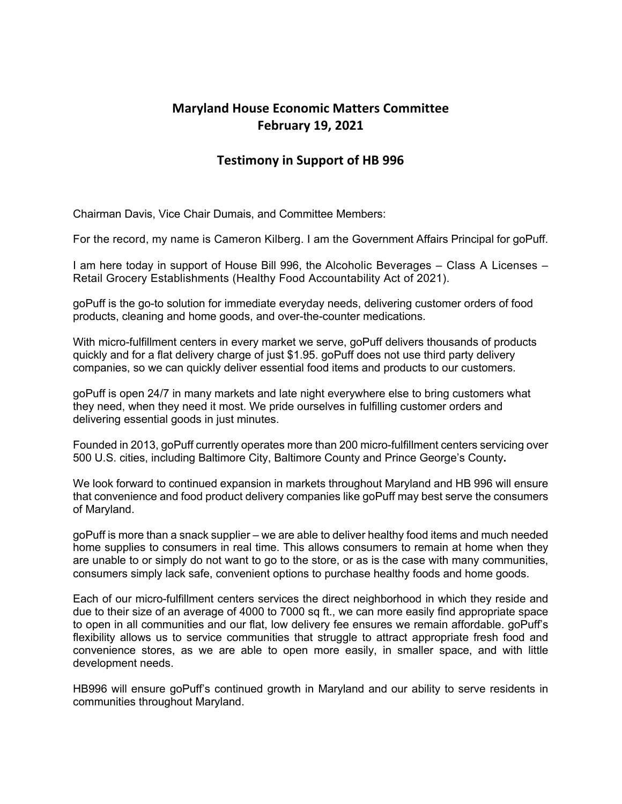## **Maryland House Economic Matters Committee February 19, 2021**

## **Testimony in Support of HB 996**

Chairman Davis, Vice Chair Dumais, and Committee Members:

For the record, my name is Cameron Kilberg. I am the Government Affairs Principal for goPuff.

I am here today in support of House Bill 996, the Alcoholic Beverages – Class A Licenses – Retail Grocery Establishments (Healthy Food Accountability Act of 2021).

goPuff is the go-to solution for immediate everyday needs, delivering customer orders of food products, cleaning and home goods, and over-the-counter medications.

With micro-fulfillment centers in every market we serve, goPuff delivers thousands of products quickly and for a flat delivery charge of just \$1.95. goPuff does not use third party delivery companies, so we can quickly deliver essential food items and products to our customers.

goPuff is open 24/7 in many markets and late night everywhere else to bring customers what they need, when they need it most. We pride ourselves in fulfilling customer orders and delivering essential goods in just minutes.

Founded in 2013, goPuff currently operates more than 200 micro-fulfillment centers servicing over 500 U.S. cities, including Baltimore City, Baltimore County and Prince George's County**.**

We look forward to continued expansion in markets throughout Maryland and HB 996 will ensure that convenience and food product delivery companies like goPuff may best serve the consumers of Maryland.

goPuff is more than a snack supplier – we are able to deliver healthy food items and much needed home supplies to consumers in real time. This allows consumers to remain at home when they are unable to or simply do not want to go to the store, or as is the case with many communities, consumers simply lack safe, convenient options to purchase healthy foods and home goods.

Each of our micro-fulfillment centers services the direct neighborhood in which they reside and due to their size of an average of 4000 to 7000 sq ft., we can more easily find appropriate space to open in all communities and our flat, low delivery fee ensures we remain affordable. goPuff's flexibility allows us to service communities that struggle to attract appropriate fresh food and convenience stores, as we are able to open more easily, in smaller space, and with little development needs.

HB996 will ensure goPuff's continued growth in Maryland and our ability to serve residents in communities throughout Maryland.